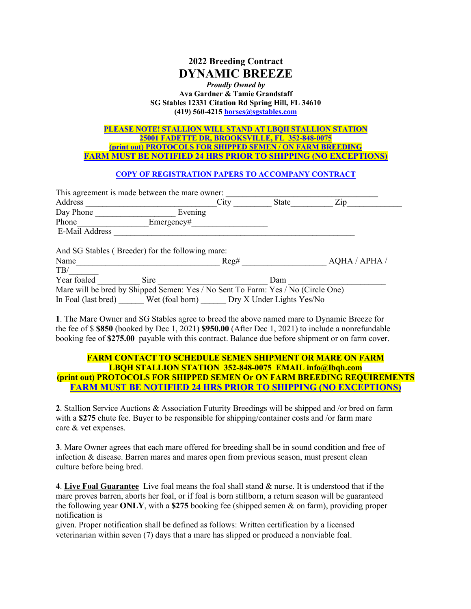# **2022 Breeding Contract DYNAMIC BREEZE**

#### *Proudly Owned by* **Ava Gardner & Tamie Grandstaff SG Stables 12331 Citation Rd Spring Hill, FL 34610 (419) 560-4215 horses@sgstables.com**

#### **PLEASE NOTE! STALLION WILL STAND AT LBQH STALLION STATION 25001 FADETTE DR, BROOKSVILLE, FL 352-848-0075 (print out) PROTOCOLS FOR SHIPPED SEMEN / ON FARM BREEDING FARM MUST BE NOTIFIED 24 HRS PRIOR TO SHIPPING (NO EXCEPTIONS)**

### **COPY OF REGISTRATION PAPERS TO ACCOMPANY CONTRACT**

| This agreement is made between the mare owner:                                   |            |                                           |       |               |
|----------------------------------------------------------------------------------|------------|-------------------------------------------|-------|---------------|
| Address                                                                          |            | City                                      | State | Zip           |
| Day Phone                                                                        | Evening    |                                           |       |               |
| Phone                                                                            | Emergency# |                                           |       |               |
| E-Mail Address                                                                   |            |                                           |       |               |
| And SG Stables (Breeder) for the following mare:                                 |            |                                           |       |               |
| Name                                                                             |            | Reg#                                      |       | AQHA / APHA / |
| TB/                                                                              |            |                                           |       |               |
| Year foaled                                                                      | Sire       |                                           | Dam   |               |
| Mare will be bred by Shipped Semen: Yes / No Sent To Farm: Yes / No (Circle One) |            |                                           |       |               |
| In Foal (last bred)                                                              |            | Wet (foal born) Dry X Under Lights Yes/No |       |               |

**1**. The Mare Owner and SG Stables agree to breed the above named mare to Dynamic Breeze for the fee of \$ **\$850** (booked by Dec 1, 2021) **\$950.00** (After Dec 1, 2021) to include a nonrefundable booking fee of **\$275.00** payable with this contract. Balance due before shipment or on farm cover.

## **FARM CONTACT TO SCHEDULE SEMEN SHIPMENT OR MARE ON FARM LBQH STALLION STATION 352-848-0075 EMAIL info@lbqh.com (print out) PROTOCOLS FOR SHIPPED SEMEN Or ON FARM BREEDING REQUIREMENTS FARM MUST BE NOTIFIED 24 HRS PRIOR TO SHIPPING (NO EXCEPTIONS)**

**2**. Stallion Service Auctions & Association Futurity Breedings will be shipped and /or bred on farm with a \$275 chute fee. Buyer to be responsible for shipping/container costs and /or farm mare care & vet expenses.

**3**. Mare Owner agrees that each mare offered for breeding shall be in sound condition and free of infection & disease. Barren mares and mares open from previous season, must present clean culture before being bred.

**4**. **Live Foal Guarantee** Live foal means the foal shall stand & nurse. It is understood that if the mare proves barren, aborts her foal, or if foal is born stillborn, a return season will be guaranteed the following year **ONLY**, with a **\$275** booking fee (shipped semen & on farm), providing proper notification is

given. Proper notification shall be defined as follows: Written certification by a licensed veterinarian within seven (7) days that a mare has slipped or produced a nonviable foal.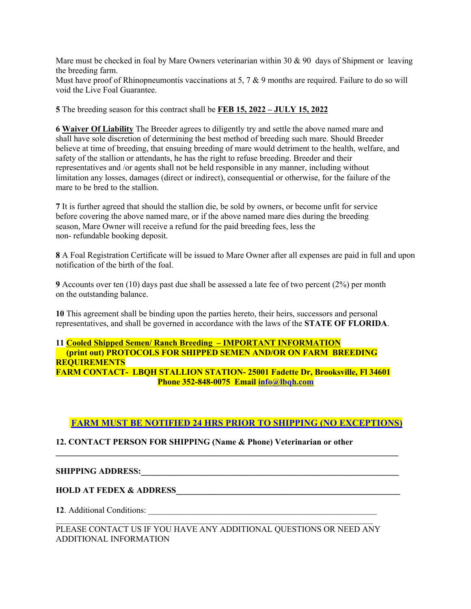Mare must be checked in foal by Mare Owners veterinarian within 30  $\&$  90 days of Shipment or leaving the breeding farm.

Must have proof of Rhinopneumontis vaccinations at 5, 7 & 9 months are required. Failure to do so will void the Live Foal Guarantee.

**5** The breeding season for this contract shall be **FEB 15, 2022 – JULY 15, 2022**

**6 Waiver Of Liability** The Breeder agrees to diligently try and settle the above named mare and shall have sole discretion of determining the best method of breeding such mare. Should Breeder believe at time of breeding, that ensuing breeding of mare would detriment to the health, welfare, and safety of the stallion or attendants, he has the right to refuse breeding. Breeder and their representatives and /or agents shall not be held responsible in any manner, including without limitation any losses, damages (direct or indirect), consequential or otherwise, for the failure of the mare to be bred to the stallion.

**7** It is further agreed that should the stallion die, be sold by owners, or become unfit for service before covering the above named mare, or if the above named mare dies during the breeding season, Mare Owner will receive a refund for the paid breeding fees, less the non- refundable booking deposit.

**8** A Foal Registration Certificate will be issued to Mare Owner after all expenses are paid in full and upon notification of the birth of the foal.

**9** Accounts over ten (10) days past due shall be assessed a late fee of two percent (2%) per month on the outstanding balance.

**10** This agreement shall be binding upon the parties hereto, their heirs, successors and personal representatives, and shall be governed in accordance with the laws of the **STATE OF FLORIDA**.

## **11 Cooled Shipped Semen/ Ranch Breeding – IMPORTANT INFORMATION (print out) PROTOCOLS FOR SHIPPED SEMEN AND/OR ON FARM BREEDING REQUIREMENTS FARM CONTACT- LBQH STALLION STATION- 25001 Fadette Dr, Brooksville, Fl 34601 Phone 352-848-0075 Email info@lbqh.com**

# **FARM MUST BE NOTIFIED 24 HRS PRIOR TO SHIPPING (NO EXCEPTIONS)**

**\_\_\_\_\_\_\_\_\_\_\_\_\_\_\_\_\_\_\_\_\_\_\_\_\_\_\_\_\_\_\_\_\_\_\_\_\_\_\_\_\_\_\_\_\_\_\_\_\_\_\_\_\_\_\_\_\_\_\_\_\_\_\_\_\_\_\_\_\_\_\_\_\_\_\_\_\_\_\_\_\_**

## **12. CONTACT PERSON FOR SHIPPING (Name & Phone) Veterinarian or other**

# **SHIPPING ADDRESS:\_\_\_\_\_\_\_\_\_\_\_\_\_\_\_\_\_\_\_\_\_\_\_\_\_\_\_\_\_\_\_\_\_\_\_\_\_\_\_\_\_\_\_\_\_\_\_\_\_\_\_\_\_\_\_\_\_\_\_\_\_**

# **HOLD AT FEDEX & ADDRESS**

**12**. Additional Conditions: \_\_\_\_\_\_\_\_\_\_\_\_\_\_\_\_\_\_\_\_\_\_\_\_\_\_\_\_\_\_\_\_\_\_\_\_\_\_\_\_\_\_\_\_\_\_\_\_\_\_\_\_\_\_

## PLEASE CONTACT US IF YOU HAVE ANY ADDITIONAL QUESTIONS OR NEED ANY ADDITIONAL INFORMATION

 $\mathcal{L}_\text{max} = \frac{1}{2} \sum_{i=1}^n \mathcal{L}_\text{max} = \frac{1}{2} \sum_{i=1}^n \mathcal{L}_\text{max} = \frac{1}{2} \sum_{i=1}^n \mathcal{L}_\text{max} = \frac{1}{2} \sum_{i=1}^n \mathcal{L}_\text{max} = \frac{1}{2} \sum_{i=1}^n \mathcal{L}_\text{max} = \frac{1}{2} \sum_{i=1}^n \mathcal{L}_\text{max} = \frac{1}{2} \sum_{i=1}^n \mathcal{L}_\text{max} = \frac{1}{2} \sum_{i=$